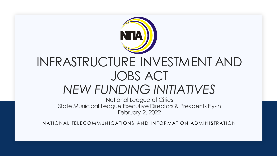

# INFRASTRUCTURE INVESTMENT AND JOBS ACT *NEW FUNDING INITIATIVES*

National League of Cities State Municipal League Executive Directors & Presidents Fly-In February 2, 2022

NATIONAL TELECOMMUNICATIONS AND INFORMATION ADMINISTRATION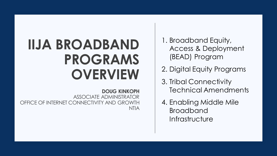# **IIJA BROADBAND PROGRAMS OVERVIEW**

**DOUG KINKOPH** ASSOCIATE ADMINISTRATOR OFFICE OF INTERNET CONNECTIVITY AND GROWTH NTIA 1. Broadband Equity, Access & Deployment (BEAD) Program

- 2. Digital Equity Programs
- 3. Tribal Connectivity Technical Amendments
- 4. Enabling Middle Mile Broadband **Infrastructure**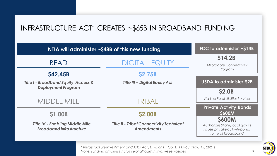# INFRASTRUCTURE ACT\* CREATES ~\$65B IN BROADBAND FUNDING

| NTIA will administer ~\$48B of this new funding                              |                                                                      | FCC to administer $\sim$ \$14B                                                                        |
|------------------------------------------------------------------------------|----------------------------------------------------------------------|-------------------------------------------------------------------------------------------------------|
| <b>BEAD</b>                                                                  | <b>DIGITAL EQUITY</b>                                                | \$14.2B<br><b>Affordable Connectivity</b>                                                             |
| <b>\$42.45B</b>                                                              | <b>\$2.75B</b>                                                       | Program                                                                                               |
| <b>Title I - Broadband Equity, Access &amp;</b><br><b>Deployment Program</b> | <b>Title III - Digital Equity Act</b>                                | <b>USDA to administer \$2B</b><br><b>\$2.0B</b>                                                       |
| <b>MIDDLE MILE</b>                                                           | TRIBAL                                                               | Via the Rural Utilities Service                                                                       |
| <b>S1.00B</b>                                                                | <b>\$2.00B</b>                                                       | <b>Private Activity Bonds</b><br><b>S600M</b>                                                         |
| <b>Title IV - Enabling Middle Mile</b><br><b>Broadband Infrastructure</b>    | <b>Title II - Tribal Connectivity Technical</b><br><b>Amendments</b> | <b>S600M</b><br>Authorizes State/local gov'ts<br>to use private activity bonds<br>for rural broadband |

*\* Infrastructure Investment and Jobs Act , Division F, Pub. L. 117-58 (Nov. 15, 2021) Not e: funding amounts inclusive of all administrative set -asides*



3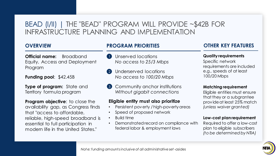# BEAD (I/II) | THE "BEAD" PROGRAM WILL PROVIDE ~\$42B FOR INFRASTRUCTURE PLANNING AND IMPLEMENTATION

#### **OVERVIEW**

**Official name:** Broadband Equity, Access and Deployment Program

**Funding pool**: \$42.45B

**Type of program:** State and Territory formula program

**Program objective:** to close the availability gap, as Congress finds that "access to affordable, reliable, high-speed broadband is essential to full participation in modern life in the United States."

#### **PROGRAM PRIORITIES**

- Unserved locations *No access to 25/3 Mbps* 1
- Underserved locations *No access to 100/20 Mbps* 2
- **3** Community anchor institutions *Without gigabit connections*

#### **Eligible entity must also prioritize**

- Persistent poverty / high-poverty areas
- Speed of proposed network
- Build time
- Demonstrated record on compliance with federal labor & employment laws

## **OTHER KEY FEATURES**

#### **Quality requirements**

Specific network requirements are included e.g., speeds of at least 100/20 Mbps

#### **Matching requirement**

Eligible entities must ensure that they or a subgrantee provide at least 25% match *(unless waiver granted)*

#### **Low-cost plan requirement**

Required to offer a low-cost plan to eligible subscribers *(to be determined by NTIA)*



*Not e: funding amounts inclusive of all administrative set -asides*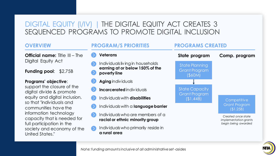# DIGITAL EQUITY (I/IV) | THE DIGITAL EQUITY ACT CREATES 3 SEQUENCED PROGRAMS TO PROMOTE DIGITAL INCLUSION

## **OVERVIEW Official name:** Title III – The Digital Equity Act

**Funding pool**: \$2.75B

#### **Programs' objective**:

support the closure of the digital divide & promote equity and digital inclusion, so that "individuals and communities have the information technology capacity that is needed for full participation in the society and economy of the United States."



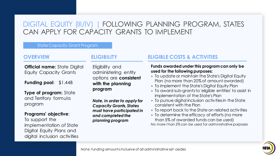# DIGITAL EQUITY (III/IV) | FOLLOWING PLANNING PROGRAM, STATES CAN APPLY FOR CAPACITY GRANTS TO IMPLEMENT

#### State Capacity Grant Program

#### **OVERVIEW**

**Official name: State Digital** Equity Capacity Grants

**Funding pool**: \$1.44B

**Type of program:** State and Territory formula program

#### **Programs' objective**:

To support the implementation of State Digital Equity Plans and digital inclusion activities

#### **ELIGIBILITY**

Eligibility and administering entity options are **consistent with the planning program**

*Note, in order to apply for Capacity Grants, States must have participated in and completed the planning program*

## **ELIGIBLE COSTS & ACTIVITIES**

#### **Funds awarded under this program can only be used for the following purposes:**

- To update or maintain the State's Digital Equity Plan (no more than 20% of amount awarded)
- To implement the State's Digital Equity Plan
- To award sub-grants to 'eligible entities' to assist in implementation of the State's Plan
- To pursue digital inclusion activities in the State consistent with the Plan
- To report back to the State on related activities
- To determine the efficacy of efforts (no more than 5% of awarded funds can be used) *No more t han 3% can be used for administrative purposes*

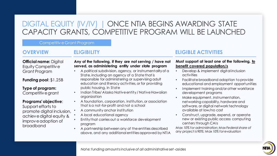# DIGITAL EQUITY (IV/IV) | ONCE NTIA BEGINS AWARDING STATE CAPACITY GRANTS, COMPETITIVE PROGRAM WILL BE LAUNCHED

#### Competitive Grant Program

## **OVERVIEW**

## **ELIGIBILITY**

**Official name:** Digital Equity Competitive Grant Program

**Funding pool**: \$1.25B

#### **Type of program:**  Competitive grant

#### **Programs' objective**:

Support efforts to promote digital inclusion, achieve digital equity & improve adoption of broadband

#### **Any of the following, if they are not serving / have not served, as administering entity under state program**

- A political subdivision, agency, or instrumentality of a State, including an agency of a State that is responsible for administering or supervising adult education and literacy activities, or for providing public housing, in State
- Indian Tribe/ Alaska Native entity / Native Hawaiian organization
- A foundation, corporation, institution, or association that is a not-for-profit and not a school
- A community anchor institution
- A local educational agency
- Entity that carries out a workforce development program
- A partnership between any of the entities described above, and any additional entities approved by NTIA

## **ELIGIBLE ACTIVITIES**

#### **Must support at least one of the following, to benefit covered population/s**

- Develop & implement digital inclusion activities
- Facilitate broadband adoption to provide educational and employment opportunities
- Implement training and/or other workforce development programs
- Make equipment, instrumentation, networking capability, hardware and software, or digital network technology available at low/no cost
- Construct, upgrade, expend, or operate new or existing public access computing centers through CAIs

*Max 10% for administration; Max Federal share of any project is 90%; Max 10% for evaluation*

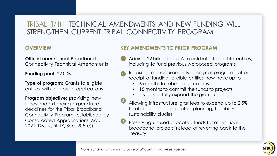# TRIBAL (I/II)| TECHNICAL AMENDMENTS AND NEW FUNDING WILL STRENGTHEN CURRENT TRIBAL CONNECTIVITY PROGRAM

## **OVERVIEW**

**Official name:** Tribal Broadband Connectivity Technical Amendments

**Funding pool**: \$2.00B

**Type of program:** Grants to eligible entities with approved applications

**Program objective:** providing new funds and extending expenditure deadlines for the Tribal Broadband Connectivity Program (established by Consolidated Appropriations Act, 2021, Div. N, Tit. IX, Sec. 905(c))

## **KEY AMENDMENTS TO PRIOR PROGRAM**

- Adding \$2 billion for NTIA to distribute to eligible entities, including to fund previously-proposed programs
- Relaxing time requirements of original program—after receipt of funding, eligible entities now have up to 2
	- 6 months to submit applications
	- 18 months to commit the funds to projects
	- 4 years to fully expend the grant funds
- Allowing infrastructure grantees to expend up to 2.5% total project cost for related planning, feasibility and sustainability studies
- Preserving unused allocated funds for other Tribal broadband projects instead of reverting back to the **Treasury** 4

3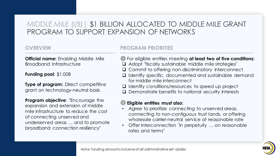# MIDDLE MILE (I/II)| \$1 BILLION ALLOCATED TO MIDDLE MILE GRANT PROGRAM TO SUPPORT EXPANSION OF NETWORKS

## **OVERVIEW**

**Official name:** Enabling Middle Mile Broadband Infrastructure

**Funding pool**: \$1.00B

**Type of program:** Direct competitive grant on technology-neutral basis

**Program objective**: "Encourage the expansion and extension of middle mile infrastructure to reduce the cost of connecting unserved and underserved areas … and to promote broadband connection resiliency"

## **PROGRAM PRIORITIES**

- **I** For eligible entities meeting at least two of five conditions:
- ❑ Adopt "fiscally sustainable middle mile strategies"
- ❑ Commit to offering non-discriminatory interconnect
- ❑ Identify specific, documented and sustainable demand for middle mile interconnect
- ❑ Identify conditions/resources to speed up project
- ❑ Demonstrate benefits to national security interests

#### **Eligible entities must also:**  2

- Agree to prioritize connecting to unserved areas, connecting to non-contiguous trust lands, or offering wholesale carrier-neutral service at reasonable rate
- Offer interconnection "in perpetuity … on reasonable rates and terms"

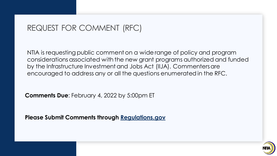# REQUEST FOR COMMENT (RFC)

NTIA is requesting public comment on a wide range of policy and program considerations associated with the new grant programs authorized and funded by the Infrastructure Investment and Jobs Act (IIJA). Commenters are encouraged to address any or all the questions enumerated in the RFC.

**Comments Due**: February 4, 2022 by 5:00pm ET

**Please Submit Comments through [Regulations.gov](https://www.regulations.gov/)**

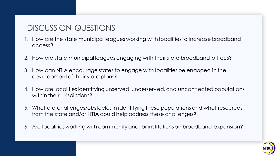# DISCUSSION QUESTIONS

- 1. How are the state municipal leagues working with localities to increase broadband access?
- 2. How are state municipal leagues engaging with their state broadband offices?
- 3. How can NTIA encourage states to engage with localities be engaged in the development of their state plans?
- 4. How are localities identifying unserved, underserved, and unconnected populations within their jurisdictions?
- 5. What are challenges/obstacles in identifying these populations and what resources from the state and/or NTIA could help address these challenges?
- 6. Are localities working with community anchor institutions on broadband expansion?